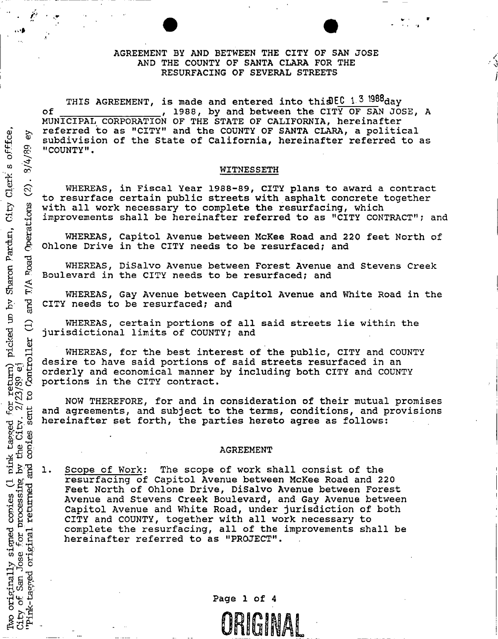### AGREEMENT BY AND BETWEEN THE CITY OF SAN JOSE AND THE COUNTY OF SANTA CLARA FOR THE RESURFACING OF SEVERAL STREETS

THIS AGREEMENT, is made and entered into this EC 1.3  $1988$ day of  $1988$ , by and between the CITY OF SAN JOSE, A MUNICIPAL CORPORATION OF THE STATE OF CALIFORNIA, hereinafter referred to as "CITY" and the COUNTY OF SANTA CLARA, a political  $\frac{1}{x}$  subdivision of the State of California, hereinafter referred to as<br> $\frac{1}{x}$  "COUNTY".<br> $\frac{1}{x}$  MITNESSETH "COUNTY".

#### WITNESSETH

 $\widetilde{\Omega}$  WHEREAS, in Fiscal Year 1988-89, CITY plans to award a contract to resurface certain public streets with asphalt concrete together with all work necessary to complete the resurfacing, which •**h** improvements shall be hereinafter referred to as "CITY CONTRACT"; and g So referred to as "CITY" and the COUNTY OF SANTA CLARA, a political<br>
g subdivision of the State of California, hereinafter referred to as<br>
"COUNTY".<br>
"WHEREAS, in Fiscal Year 1988-89, CITY plans to award a contract<br>
Cree

WHEREAS, Capitol Avenue between McKee Road and 220 feet North of Ohlone Drive in the CITY needs to be resurfaced; and

Boulevard in the CITY needs to be resurfaced; and

E WHEREAS, Gay Avenue between Capitol Avenue and White Road in the CITY needs to be resurfaced; and CITY needs to be resurfaced; and

WHEREAS, certain portions of all said streets lie within the jurisdictional limits of COUNTY? and

WHEREAS, for the best interest of the public, CITY and COUNTY desire to have said portions of said streets resurfaced in an orderly and economical manner by including both CITY and COUNTY portions in the CITY contract.

NOW THEREFORE, for and in consideration of their mutual promises and agreements, and subject to the terms, conditions, and provisions hereinafter set forth, the parties hereto agree as follows:

#### AGREEMENT

 $\mathbb{E}_{\mathbb{H}}^{\mathbb{Q}}$  1. Scope of Work: The scope of work shall consist of the resurfacing of Capitol Avenue between McKee Road and 220 **a!** Feet North of Ohlone Drive, DiSalvo Avenue between Forest Avenue and Stevens Creek Boulevard, and Gay Avenue between Capitol Avenue and White Road, under jurisdiction of both CITY and COUNTY, together with all work necessary to complete the resurfacing, all of the improvements shall be hereinafter referred to as "PROJECT".

 $\begin{array}{ccc} H & \to & \text{Page } 1 & \text{or } 4 \\ \hline \end{array}$ ORIGINAL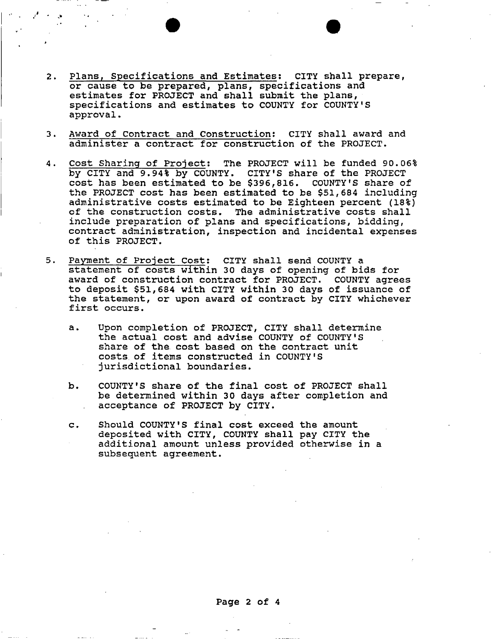- Plans, Specifications and Estimates: CITY shall prepare,  $2.$ or cause to be prepared, plans, specifications and estimates for PROJECT and shall submit the plans, specifications and estimates to COUNTY for COUNTY'S approval.
- Award of Contract and Construction; CITY shall award and  $3.$ administer a contract for construction of the PROJECT.
- Cost Sharing of Project: The PROJECT will be funded 90.06% 4. by CITY and 9.94% by COUNTY. CITY'S share of the PROJECT cost has been estimated to be \$396,816. COUNTY'S share of the PROJECT cost has been estimated to be \$51,684 including administrative costs estimated to be Eighteen percent (18%) of the construction costs. The administrative costs shall include preparation of plans and specifications, bidding, contract administration, inspection and incidental expenses of this PROJECT.
- 5. Payment of Project Cost: CITY shall send COUNTY a statement of costs within 30 days of opening of bids for award of construction contract for PROJECT. COUNTY agrees to deposit \$51,684 with CITY within 30 days of issuance of the statement, or upon award of contract by CITY whichever first occurs.
	- a. Upon completion of PROJECT, CITY shall determine the actual cost and advise COUNTY of COUNTY'S share of the cost based on the contract unit costs of items constructed in COUNTY'S jurisdictional boundaries.
	- b. COUNTY'S share of the final cost of PROJECT shall be determined within 30 days after completion and acceptance of PROJECT by CITY.
	- c. Should COUNTY'S final cost exceed the amount deposited with CITY, COUNTY shall pay CITY the additional amount unless provided otherwise in a subsequent agreement.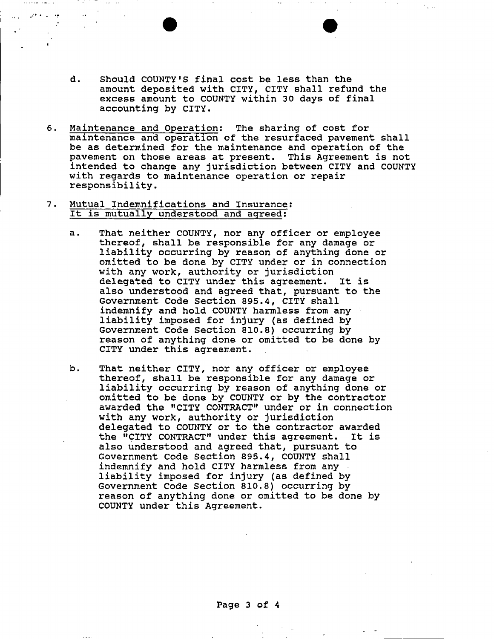- d. Should COUNTY'S final cost be less than the amount deposited with CITY, CITY shall refund the excess amount to COUNTY within 30 days of final accounting by CITY.
- 6. Maintenance and Operation: The sharing of cost for maintenance and operation of the resurfaced pavement shall be as determined for the maintenance and operation of the pavement on those areas at present. This Agreement is not intended to change any jurisdiction between CITY and COUNTY with regards to maintenance operation or repair responsibility.
- 7. Mutual Indemnifications and Insurance: It is mutually understood and agreed:
	- a. That neither COUNTY, nor any officer or employee thereof, shall be responsible for any damage or liability occurring by reason of anything done or omitted to be done by CITY under or in connection with any work, authority or jurisdiction delegated to CITY under this agreement. It is also understood and agreed that, pursuant to the Government Code Section 895.4, CITY shall indemnify and hold COUNTY harmless from any liability imposed for injury (as defined by Government Code Section 810.8) occurring by reason of anything done or omitted to be done by CITY under this agreement.
	- b. That neither CITY, nor any officer or employee thereof, shall be responsible for any damage or liability occurring by reason of anything done or omitted to be done by COUNTY or by the contractor awarded the "CITY CONTRACT" under or in connection with any work, authority or jurisdiction delegated to COUNTY or to the contractor awarded the "CITY CONTRACT" under this agreement. It is also understood and agreed that, pursuant to Government Code Section 895.4, COUNTY shall indemnify and hold CITY harmless from any liability imposed for injury (as defined by Government Code Section 810.8) occurring by reason of anything done or omitted to be done by COUNTY under this Agreement.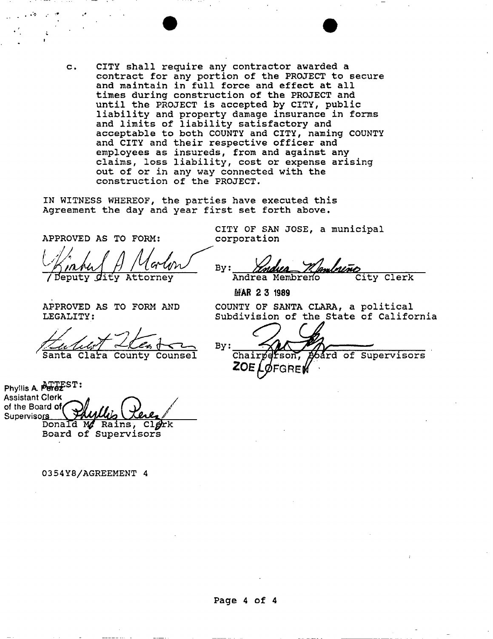c. CITY shall require any contractor awarded a contract for any portion of the PROJECT to secure and maintain in full force and effect at all times during construction of the PROJECT and until the PROJECT is accepted by CITY, public liability and property damage insurance in forms and limits of liability satisfactory and acceptable to both COUNTY and CITY, naming COUNTY and CITY and their respective officer and employees as insureds, from and against any claims, loss liability, cost or expense arising out of or in any way connected with the construction of the PROJECT.

IN WITNESS WHEREOF, the parties have executed this Agreement the day and year first set forth above.

APPROVED AS TO FORK:

beputy *dity* Attorney

APPROVED AS TO FORM AND LEGALITY:

Santa Clara County Counsel

Phyllis A. **Perez**ST: Assistant Clerk of the Board of Supervisors Donald  $M$  Rains, Cl $\phi$ rk Board of Supervisors

### 035 4 Y8/AGREEMENT 4

CITY OF SAN JOSE, a municipal corporation

By: Andrea Membreno City Clerk

MAR 2 3 1989

COUNTY OF SANTA CLARA, a political Subdivision of the State of California

 $By:$ 

Chairperson rd of Supervisors ZOE I FGREM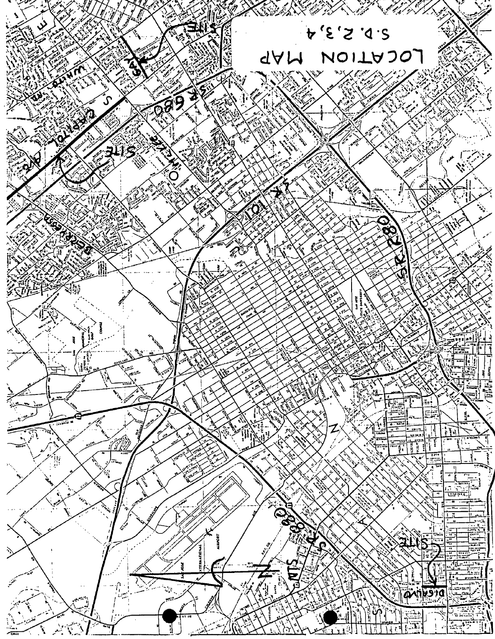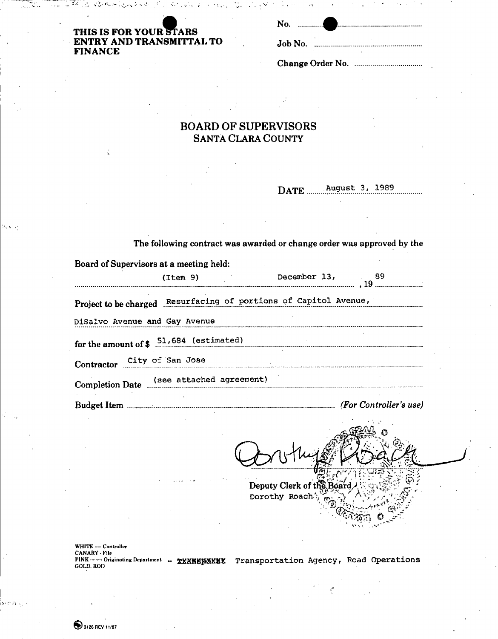| THIS IS FOR YOUR STARS   |  |
|--------------------------|--|
| ENTRY AND TRANSMITTAL TO |  |
| <b>FINANCE</b>           |  |

| No.<br>. 1 |  |
|------------|--|
| Job No.    |  |

Change Order No.

# **BOARD OF SUPERVISORS SANTA CLARA COUNTY**

**DATE August 3, 1989** 

| The following contract was awarded or change order was approved by the |                                                 |                                                                  |                                                                                                                 |  |  |  |
|------------------------------------------------------------------------|-------------------------------------------------|------------------------------------------------------------------|-----------------------------------------------------------------------------------------------------------------|--|--|--|
| Board of Supervisors at a meeting held:                                |                                                 |                                                                  |                                                                                                                 |  |  |  |
|                                                                        | (Item 9)                                        |                                                                  |                                                                                                                 |  |  |  |
|                                                                        |                                                 | Project to be charged Resurfacing of portions of Capitol Avenue, |                                                                                                                 |  |  |  |
|                                                                        | DiSalvo Avenue and Gay Avenue                   |                                                                  |                                                                                                                 |  |  |  |
|                                                                        | for the amount of $\frac{51,684}{}$ (estimated) |                                                                  |                                                                                                                 |  |  |  |
|                                                                        |                                                 | Contractor City of San Jose                                      |                                                                                                                 |  |  |  |
|                                                                        | Completion Date (see attached agreement)        |                                                                  |                                                                                                                 |  |  |  |
|                                                                        |                                                 |                                                                  |                                                                                                                 |  |  |  |
|                                                                        |                                                 |                                                                  | the contract of the contract of the contract of the contract of the contract of the contract of the contract of |  |  |  |

Deputy Clerk of the Board Dorothy Roach<sup>1</sup>, ' • -VStysin *&* 

WHITE — Controller<br>CANARY • File<br>PINK ——— Originating Department **… <u>WXXWMMXXXX</u> Transportation Agency, Road Operations**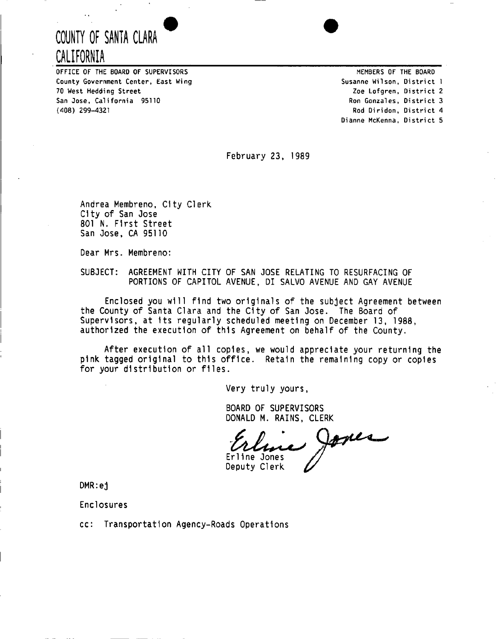# **COUNTY OF SANTA CLARA CALIFORNIA**

OFFICE OF THE BOARD OF SUPERVISORS County Government Center, East Wing 70 West Hedding Street San Jose, California 95110 (408) 299-4321

Susanne Wilson, District 1 Zoe Lofgren, District 2 Ron Gonzales, District 3 Rod Diridon, District 4 MEMBERS OF THE BOARD Dianne McKenna, District 5

February 23, 1989

Andrea Membreno, City Clerk City of San Jose 801 N. First Street San Jose, CA 95110

Dear Mrs. Membreno:

SUBJECT: AGREEMENT WITH CITY OF SAN JOSE RELATING TO RESURFACING OF PORTIONS OF CAPITOL AVENUE, DI SALVO AVENUE AND GAY AVENUE

Enclosed you will find two originals of the subject Agreement between the County of Santa Clara and the City of San Jose. The Board of Supervisors, at Its regularly scheduled meeting on December 13, 1988, authorized the execution of this Agreement on behalf of the County.

After execution of all copies, we would appreciate your returning the pink tagged original to this office. Retain the remaining copy or copies for your distribution or files.

Very truly yours,

BOARD OF SUPERVISORS DONALD M. RAINS, CLERK

Jones Erline Jones Deputy Clerk

DMR:ej

Enclosures

cc: Transportation Agency-Roads Operations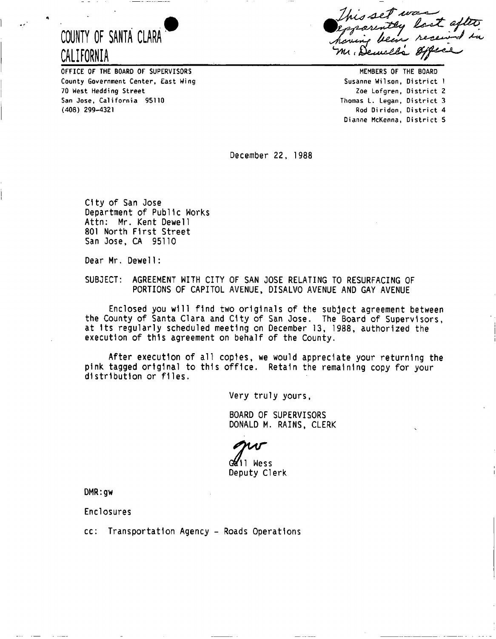# **COUNTY OF SANTA CLARA CALIFORNIA**

OFFICE OF THE BOARD OF SUPERVISORS County Government Center, East Wing 70 West Hedding Street San Jose, California 95110 (408) 299-4321

his set was his set was<br>parently lost after Mr. Dewill

Zoe Lofgren, District 2 Thomas L. Legan, District 3 Rod Diridon, District 4 Dianne McKenna, District 5 MEMBERS OF THE BOARD Susanne Wilson, District 1

December 22, 1988

City of San Jose Department of Public Works Attn: Mr. Kent Dewell 801 North First Street San Jose, CA 95110

Dear Mr. Dewel1:

SUBJECT: AGREEMENT WITH CITY OF SAN JOSE RELATING TO RESURFACING OF PORTIONS OF CAPITOL AVENUE, DISALV0 AVENUE AND GAY AVENUE

Enclosed you will find two originals of the subject agreement between the County of Santa Clara and City of San Jose. The Board of Supervisors, at Its regularly scheduled meeting on December 13, 1988, authorized the execution of this agreement on behalf of the County.

After execution of all copies, we would appreciate your returning the pink tagged original to this office. Retain the remaining copy for your distribution or files.

Very truly yours,

BOARD OF SUPERVISORS DONALD M. RAINS, CLERK

Gold'il Wess Deputy Clerk

DMR:gw

Enclosures

cc: Transportation Agency - Roads Operations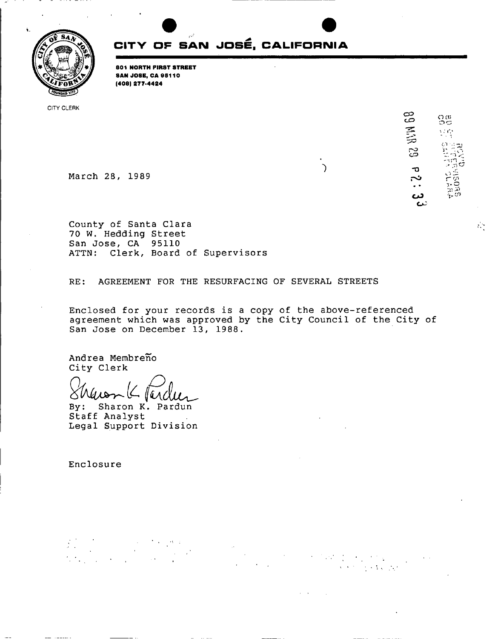

# **CITV OF SAN JOSE, CALIFORNIA**

**801 NORTH FIRST STREET S A N JOSE, C A 95110 (408) 277-4424** 

CITY CLERK

**C O CO C**<br>Cu<sub>C</sub> Cu<sub>C</sub><br>Cu<sub>C</sub>  $\frac{1}{2}$  (  $\frac{1}{2}$  $\alpha$  . යි **March 28, 1989** o ^ <u>አ.ም. - </u> <u>د،</u> نبيع

 $\mathcal{L}_{\mathcal{A}}$ 

**County of Santa Clara 70 W. Hedding Street San Jose, CA 95110 ATTN: Clerk, Board of Supervisors** 

**RE: AGREEMENT FOR THE RESURFACING OF SEVERAL STREETS** 

**Enclosed for your records is a copy of the above-referenced agreement which was approved by the City Council of the City of San Jose on December 13, 1988.** 

**Andrea Membreno City Clerk** 

ll Q ΔV

**By: Sharon K. Pardun Staff Analyst Legal Support Division** 

**Enclosure**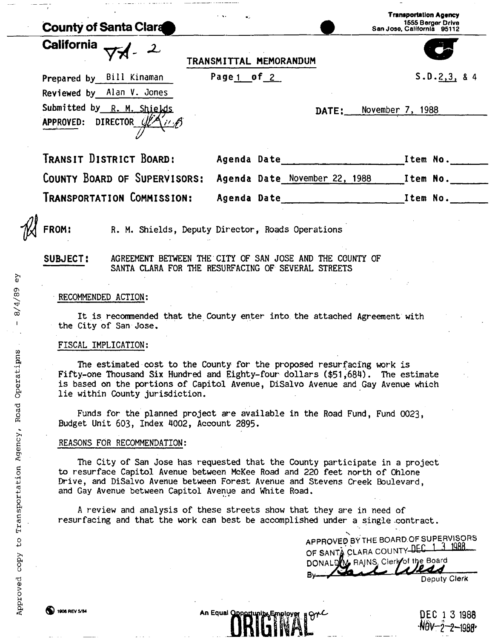|                   | <b>County of Santa Clara</b>                            |                                                                                                                                                                                                                                             |       | <b>Transportation Agency</b><br>1555 Berger Drive<br>San Jose, California 95112 |
|-------------------|---------------------------------------------------------|---------------------------------------------------------------------------------------------------------------------------------------------------------------------------------------------------------------------------------------------|-------|---------------------------------------------------------------------------------|
| <b>California</b> |                                                         | TRANSMITTAL MEMORANDUM                                                                                                                                                                                                                      |       |                                                                                 |
|                   | Prepared by Bill Kinaman                                | Page 1 of 2                                                                                                                                                                                                                                 |       | S.D.2,3, 84                                                                     |
|                   | Reviewed by Alan V. Jones                               |                                                                                                                                                                                                                                             |       |                                                                                 |
|                   | Submitted by R. M. Shields<br>APPROVED: DIRECTOR UPANIA |                                                                                                                                                                                                                                             | DATE: | November 7, 1988                                                                |
|                   | TRANSIT DISTRICT BOARD:                                 |                                                                                                                                                                                                                                             |       |                                                                                 |
|                   | COUNTY BOARD OF SUPERVISORS:                            |                                                                                                                                                                                                                                             |       | Agenda Date November 22, 1988 Item No.                                          |
|                   | Transportation Commission:                              |                                                                                                                                                                                                                                             |       | Agenda Date ______________ Item No.                                             |
| FROM:             |                                                         | R. M. Shields, Deputy Director, Roads Operations                                                                                                                                                                                            |       |                                                                                 |
| SUBJECT:          |                                                         | AGREEMENT BETWEEN THE CITY OF SAN JOSE AND THE COUNTY OF<br>SANTA CLARA FOR THE RESURFACING OF SEVERAL STREETS                                                                                                                              |       |                                                                                 |
|                   |                                                         |                                                                                                                                                                                                                                             |       |                                                                                 |
|                   | RECOMMENDED ACTION:                                     |                                                                                                                                                                                                                                             |       |                                                                                 |
|                   | the City of San Jose.                                   | It is recommended that the County enter into the attached Agreement with                                                                                                                                                                    |       |                                                                                 |
|                   | FISCAL IMPLICATION:                                     |                                                                                                                                                                                                                                             |       |                                                                                 |
|                   | lie within County jurisdiction.                         | The estimated cost to the County for the proposed resurfacing work is<br>Fifty-one Thousand Six Hundred and Eighty-four dollars (\$51,684). The estimate<br>is based on the portions of Capitol Avenue, DiSalvo Avenue and Gay Avenue which |       |                                                                                 |

Funds for the planned project are available in the Road Fund, Fund 0023, Budget Unit 603, Index 4002, Account 2895.

## REASONS FOR RECOMMENDATION:

The City of San Jose has requested that the County participate in a project to resurface Capitol Avenue between McKee Road and 220 feet north of Ohlone Drive, and DiSalvo Avenue between Forest Avenue and Stevens Creek Boulevard, and Gay Avenue between Capitol Avenue and White Road.

A review and analysis of these streets show that they are in need of resurfacing and that the work can best be accomplished under a single contract.

> APPROVED BV THE BOARD.OF SUPERVISORS OF SANTA CLARA COUNTY DEC 1 3 1988 DONALDW RAINS, Clerk of the Board By Your Deputy Clerk

**1006 REV SOM CONSUMER AN Equal Opportunity Employer BOTC 14 An Equal Opportunity Employer**  $-M0V-2-2-1988$